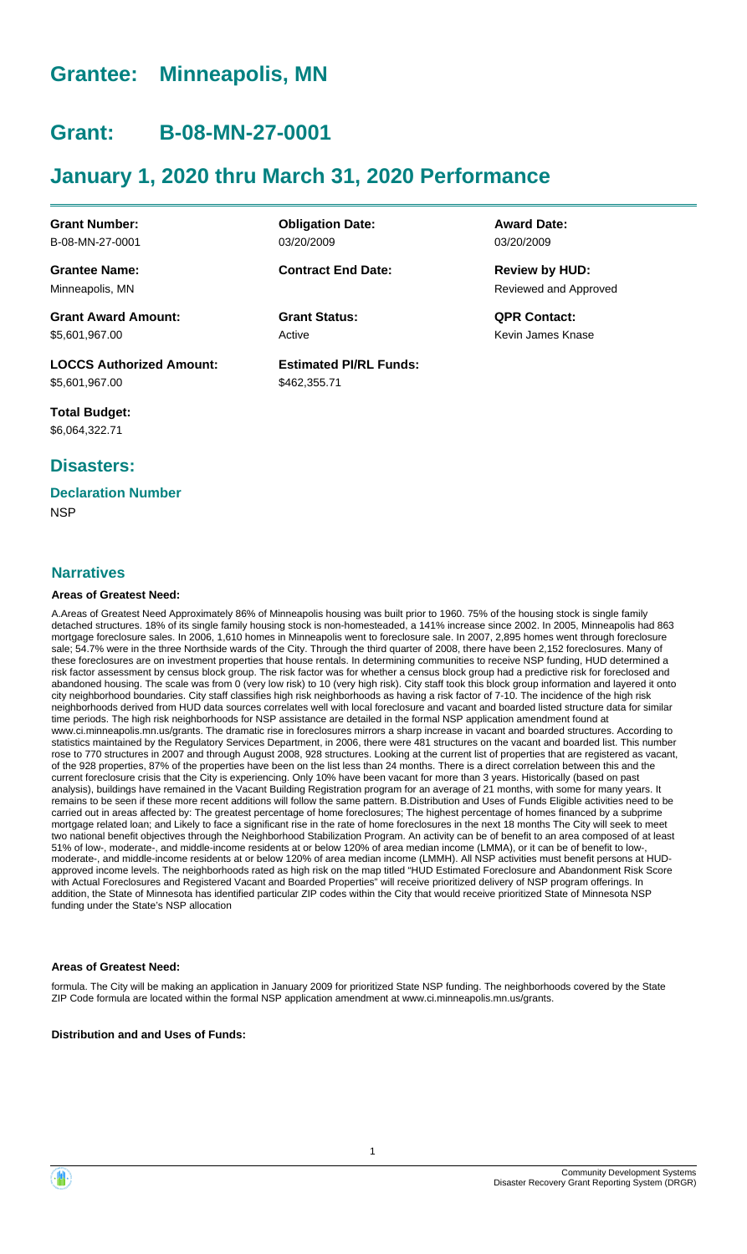### **Grantee: Minneapolis, MN**

### **Grant: B-08-MN-27-0001**

### **January 1, 2020 thru March 31, 2020 Performance**

**Grant Number:** B-08-MN-27-0001

**Grantee Name:** Minneapolis, MN

**Grant Award Amount:** \$5,601,967.00

**LOCCS Authorized Amount:** \$5,601,967.00

**Total Budget:** \$6,064,322.71

### **Disasters:**

### **Declaration Number**

**NSP** 

### **Narratives**

#### **Areas of Greatest Need:**

A.Areas of Greatest Need Approximately 86% of Minneapolis housing was built prior to 1960. 75% of the housing stock is single family detached structures. 18% of its single family housing stock is non-homesteaded, a 141% increase since 2002. In 2005, Minneapolis had 863 mortgage foreclosure sales. In 2006, 1,610 homes in Minneapolis went to foreclosure sale. In 2007, 2,895 homes went through foreclosure sale; 54.7% were in the three Northside wards of the City. Through the third quarter of 2008, there have been 2,152 foreclosures. Many of these foreclosures are on investment properties that house rentals. In determining communities to receive NSP funding, HUD determined a risk factor assessment by census block group. The risk factor was for whether a census block group had a predictive risk for foreclosed and abandoned housing. The scale was from 0 (very low risk) to 10 (very high risk). City staff took this block group information and layered it onto city neighborhood boundaries. City staff classifies high risk neighborhoods as having a risk factor of 7-10. The incidence of the high risk neighborhoods derived from HUD data sources correlates well with local foreclosure and vacant and boarded listed structure data for similar time periods. The high risk neighborhoods for NSP assistance are detailed in the formal NSP application amendment found at www.ci.minneapolis.mn.us/grants. The dramatic rise in foreclosures mirrors a sharp increase in vacant and boarded structures. According to statistics maintained by the Regulatory Services Department, in 2006, there were 481 structures on the vacant and boarded list. This number rose to 770 structures in 2007 and through August 2008, 928 structures. Looking at the current list of properties that are registered as vacant, of the 928 properties, 87% of the properties have been on the list less than 24 months. There is a direct correlation between this and the current foreclosure crisis that the City is experiencing. Only 10% have been vacant for more than 3 years. Historically (based on past analysis), buildings have remained in the Vacant Building Registration program for an average of 21 months, with some for many years. It remains to be seen if these more recent additions will follow the same pattern. B.Distribution and Uses of Funds Eligible activities need to be carried out in areas affected by: The greatest percentage of home foreclosures; The highest percentage of homes financed by a subprime mortgage related loan; and Likely to face a significant rise in the rate of home foreclosures in the next 18 months The City will seek to meet two national benefit objectives through the Neighborhood Stabilization Program. An activity can be of benefit to an area composed of at least 51% of low-, moderate-, and middle-income residents at or below 120% of area median income (LMMA), or it can be of benefit to low-, moderate-, and middle-income residents at or below 120% of area median income (LMMH). All NSP activities must benefit persons at HUDapproved income levels. The neighborhoods rated as high risk on the map titled "HUD Estimated Foreclosure and Abandonment Risk Score with Actual Foreclosures and Registered Vacant and Boarded Properties" will receive prioritized delivery of NSP program offerings. In addition, the State of Minnesota has identified particular ZIP codes within the City that would receive prioritized State of Minnesota NSP funding under the State's NSP allocation

#### **Areas of Greatest Need:**

formula. The City will be making an application in January 2009 for prioritized State NSP funding. The neighborhoods covered by the State ZIP Code formula are located within the formal NSP application amendment at www.ci.minneapolis.mn.us/grants.

**Distribution and and Uses of Funds:**

**Obligation Date:** 03/20/2009

**Contract End Date:**

Active **Grant Status: QPR Contact:**

**Estimated PI/RL Funds:** \$462,355.71

**Award Date:** 03/20/2009

Reviewed and Approved **Review by HUD:**

Kevin James Knase

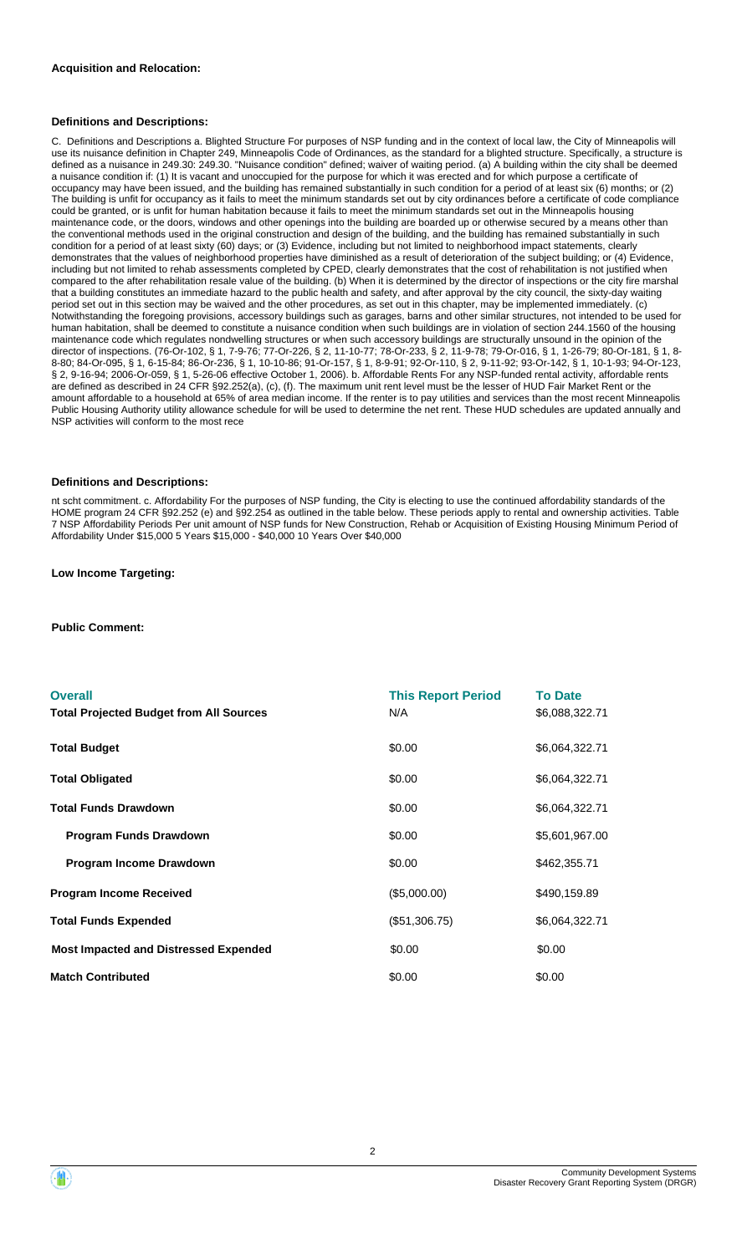#### **Definitions and Descriptions:**

C. Definitions and Descriptions a. Blighted Structure For purposes of NSP funding and in the context of local law, the City of Minneapolis will use its nuisance definition in Chapter 249, Minneapolis Code of Ordinances, as the standard for a blighted structure. Specifically, a structure is defined as a nuisance in 249.30: 249.30. "Nuisance condition" defined; waiver of waiting period. (a) A building within the city shall be deemed a nuisance condition if: (1) It is vacant and unoccupied for the purpose for which it was erected and for which purpose a certificate of occupancy may have been issued, and the building has remained substantially in such condition for a period of at least six (6) months; or (2) The building is unfit for occupancy as it fails to meet the minimum standards set out by city ordinances before a certificate of code compliance could be granted, or is unfit for human habitation because it fails to meet the minimum standards set out in the Minneapolis housing maintenance code, or the doors, windows and other openings into the building are boarded up or otherwise secured by a means other than the conventional methods used in the original construction and design of the building, and the building has remained substantially in such condition for a period of at least sixty (60) days; or (3) Evidence, including but not limited to neighborhood impact statements, clearly demonstrates that the values of neighborhood properties have diminished as a result of deterioration of the subject building; or (4) Evidence, including but not limited to rehab assessments completed by CPED, clearly demonstrates that the cost of rehabilitation is not justified when compared to the after rehabilitation resale value of the building. (b) When it is determined by the director of inspections or the city fire marshal that a building constitutes an immediate hazard to the public health and safety, and after approval by the city council, the sixty-day waiting period set out in this section may be waived and the other procedures, as set out in this chapter, may be implemented immediately. (c) Notwithstanding the foregoing provisions, accessory buildings such as garages, barns and other similar structures, not intended to be used for human habitation, shall be deemed to constitute a nuisance condition when such buildings are in violation of section 244.1560 of the housing maintenance code which regulates nondwelling structures or when such accessory buildings are structurally unsound in the opinion of the director of inspections. (76-Or-102, § 1, 7-9-76; 77-Or-226, § 2, 11-10-77; 78-Or-233, § 2, 11-9-78; 79-Or-016, § 1, 1-26-79; 80-Or-181, § 1, 8- 8-80; 84-Or-095, § 1, 6-15-84; 86-Or-236, § 1, 10-10-86; 91-Or-157, § 1, 8-9-91; 92-Or-110, § 2, 9-11-92; 93-Or-142, § 1, 10-1-93; 94-Or-123, § 2, 9-16-94; 2006-Or-059, § 1, 5-26-06 effective October 1, 2006). b. Affordable Rents For any NSP-funded rental activity, affordable rents are defined as described in 24 CFR §92.252(a), (c), (f). The maximum unit rent level must be the lesser of HUD Fair Market Rent or the amount affordable to a household at 65% of area median income. If the renter is to pay utilities and services than the most recent Minneapolis Public Housing Authority utility allowance schedule for will be used to determine the net rent. These HUD schedules are updated annually and NSP activities will conform to the most rece

#### **Definitions and Descriptions:**

nt scht commitment. c. Affordability For the purposes of NSP funding, the City is electing to use the continued affordability standards of the HOME program 24 CFR §92.252 (e) and §92.254 as outlined in the table below. These periods apply to rental and ownership activities. Table 7 NSP Affordability Periods Per unit amount of NSP funds for New Construction, Rehab or Acquisition of Existing Housing Minimum Period of Affordability Under \$15,000 5 Years \$15,000 - \$40,000 10 Years Over \$40,000

#### **Low Income Targeting:**

**Public Comment:**

| <b>Overall</b>                                 | <b>This Report Period</b> | <b>To Date</b> |
|------------------------------------------------|---------------------------|----------------|
| <b>Total Projected Budget from All Sources</b> | N/A                       | \$6,088,322.71 |
| <b>Total Budget</b>                            | \$0.00                    | \$6,064,322.71 |
| <b>Total Obligated</b>                         | \$0.00                    | \$6,064,322.71 |
| <b>Total Funds Drawdown</b>                    | \$0.00                    | \$6,064,322.71 |
| <b>Program Funds Drawdown</b>                  | \$0.00                    | \$5,601,967.00 |
| Program Income Drawdown                        | \$0.00                    | \$462,355.71   |
| <b>Program Income Received</b>                 | (\$5,000.00)              | \$490,159.89   |
| <b>Total Funds Expended</b>                    | (\$51,306.75)             | \$6,064,322.71 |
| <b>Most Impacted and Distressed Expended</b>   | \$0.00                    | \$0.00         |
| <b>Match Contributed</b>                       | \$0.00                    | \$0.00         |

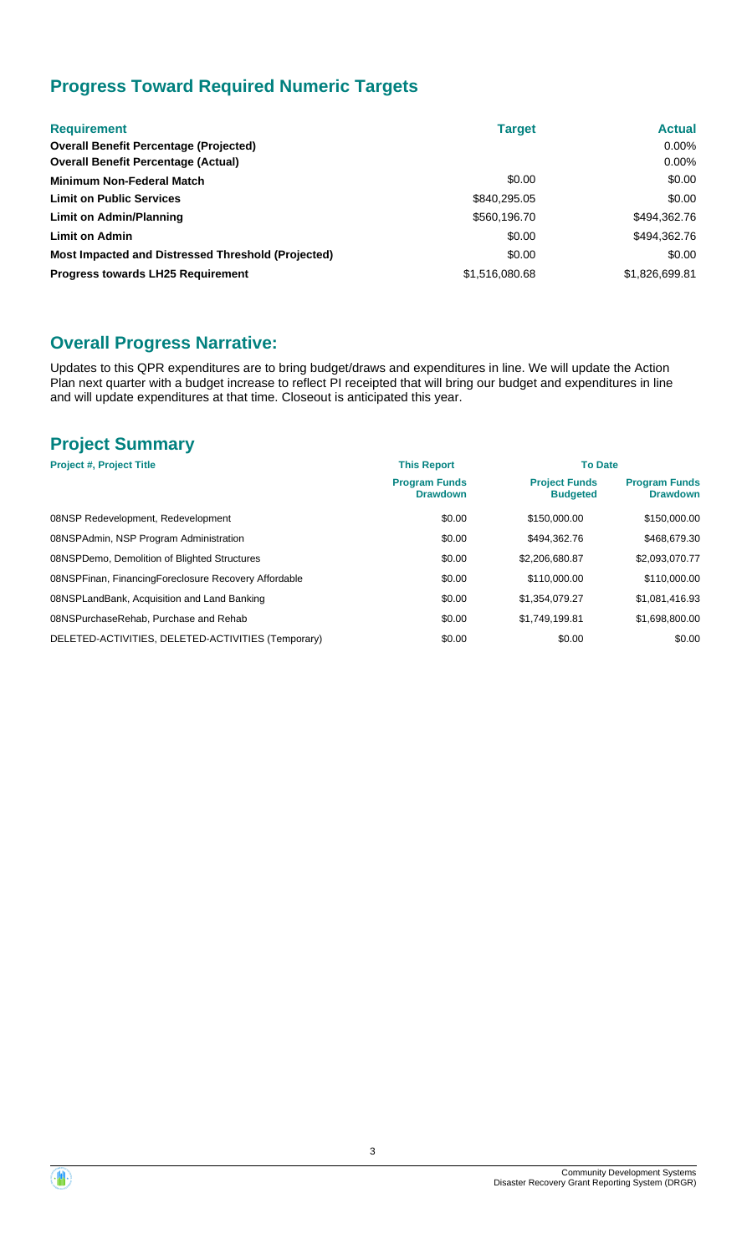### **Progress Toward Required Numeric Targets**

| <b>Requirement</b>                                 | <b>Target</b>  | <b>Actual</b>  |
|----------------------------------------------------|----------------|----------------|
| <b>Overall Benefit Percentage (Projected)</b>      |                | $0.00\%$       |
| <b>Overall Benefit Percentage (Actual)</b>         |                | $0.00\%$       |
| Minimum Non-Federal Match                          | \$0.00         | \$0.00         |
| <b>Limit on Public Services</b>                    | \$840,295.05   | \$0.00         |
| Limit on Admin/Planning                            | \$560,196.70   | \$494,362.76   |
| <b>Limit on Admin</b>                              | \$0.00         | \$494,362.76   |
| Most Impacted and Distressed Threshold (Projected) | \$0.00         | \$0.00         |
| <b>Progress towards LH25 Requirement</b>           | \$1,516,080,68 | \$1,826,699.81 |

### **Overall Progress Narrative:**

Updates to this QPR expenditures are to bring budget/draws and expenditures in line. We will update the Action Plan next quarter with a budget increase to reflect PI receipted that will bring our budget and expenditures in line and will update expenditures at that time. Closeout is anticipated this year.

### **Project Summary**

| <b>Project #, Project Title</b>                      | <b>This Report</b>                      | <b>To Date</b>                          |                                         |
|------------------------------------------------------|-----------------------------------------|-----------------------------------------|-----------------------------------------|
|                                                      | <b>Program Funds</b><br><b>Drawdown</b> | <b>Project Funds</b><br><b>Budgeted</b> | <b>Program Funds</b><br><b>Drawdown</b> |
| 08NSP Redevelopment, Redevelopment                   | \$0.00                                  | \$150,000.00                            | \$150,000.00                            |
| 08NSPAdmin, NSP Program Administration               | \$0.00                                  | \$494.362.76                            | \$468,679.30                            |
| 08NSPDemo, Demolition of Blighted Structures         | \$0.00                                  | \$2,206,680.87                          | \$2,093,070.77                          |
| 08NSPFinan, FinancingForeclosure Recovery Affordable | \$0.00                                  | \$110,000.00                            | \$110,000.00                            |
| 08NSPLandBank, Acquisition and Land Banking          | \$0.00                                  | \$1.354.079.27                          | \$1,081,416.93                          |
| 08NSPurchaseRehab, Purchase and Rehab                | \$0.00                                  | \$1.749.199.81                          | \$1,698,800.00                          |
| DELETED-ACTIVITIES, DELETED-ACTIVITIES (Temporary)   | \$0.00                                  | \$0.00                                  | \$0.00                                  |

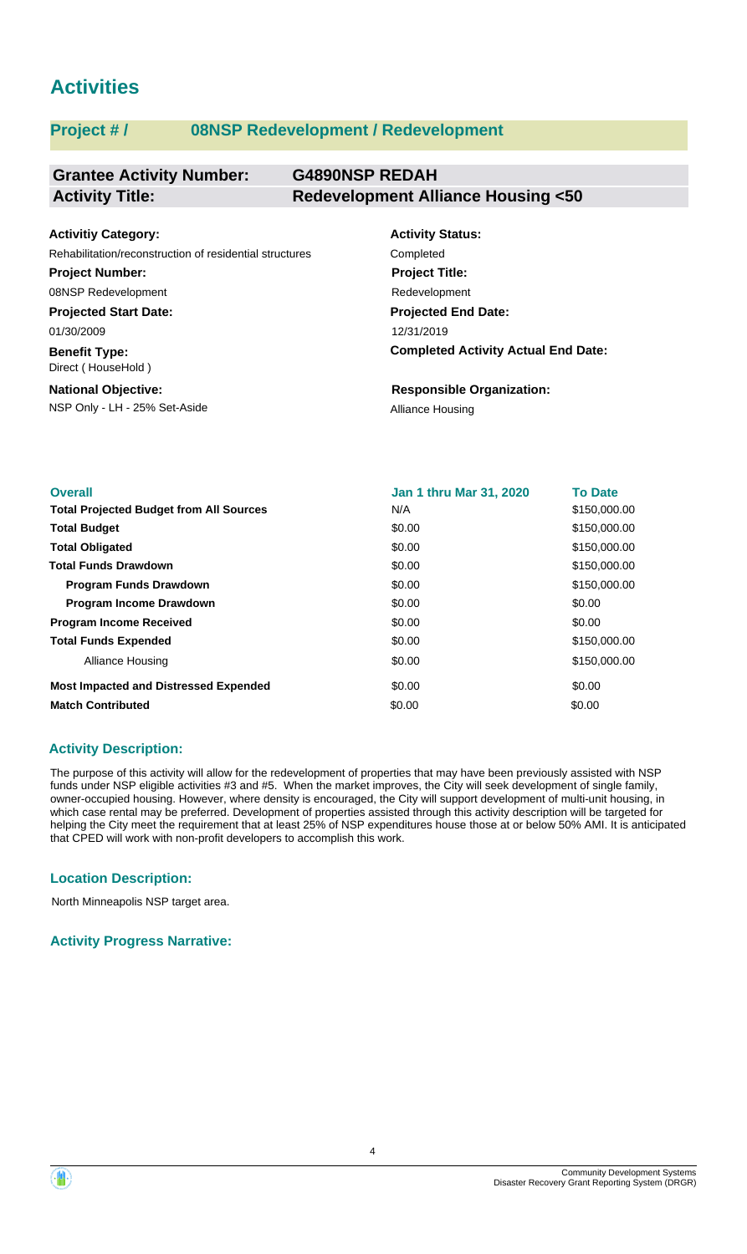## **Activities**

### **Project # / 08NSP Redevelopment / Redevelopment**

| <b>Grantee Activity Number:</b> | <b>G4890NSP REDAH</b>                        |
|---------------------------------|----------------------------------------------|
| <b>Activity Title:</b>          | <b>Redevelopment Alliance Housing &lt;50</b> |

| <b>Activitiy Category:</b>                              | <b>Activity Status:</b>                    |
|---------------------------------------------------------|--------------------------------------------|
| Rehabilitation/reconstruction of residential structures | Completed                                  |
| <b>Project Number:</b>                                  | <b>Project Title:</b>                      |
| 08NSP Redevelopment                                     | Redevelopment                              |
| <b>Projected Start Date:</b>                            | <b>Projected End Date:</b>                 |
| 01/30/2009                                              | 12/31/2019                                 |
| <b>Benefit Type:</b><br>Direct (HouseHold)              | <b>Completed Activity Actual End Date:</b> |
| <b>National Objective:</b>                              | <b>Responsible Organization:</b>           |
| NSP Only - LH - 25% Set-Aside                           | Alliance Housing                           |

| <b>Overall</b>                                 | <b>Jan 1 thru Mar 31, 2020</b> | <b>To Date</b> |
|------------------------------------------------|--------------------------------|----------------|
| <b>Total Projected Budget from All Sources</b> | N/A                            | \$150,000.00   |
| <b>Total Budget</b>                            | \$0.00                         | \$150,000.00   |
| <b>Total Obligated</b>                         | \$0.00                         | \$150,000.00   |
| <b>Total Funds Drawdown</b>                    | \$0.00                         | \$150,000.00   |
| <b>Program Funds Drawdown</b>                  | \$0.00                         | \$150,000.00   |
| <b>Program Income Drawdown</b>                 | \$0.00                         | \$0.00         |
| <b>Program Income Received</b>                 | \$0.00                         | \$0.00         |
| <b>Total Funds Expended</b>                    | \$0.00                         | \$150,000.00   |
| Alliance Housing                               | \$0.00                         | \$150,000.00   |
| <b>Most Impacted and Distressed Expended</b>   | \$0.00                         | \$0.00         |
| <b>Match Contributed</b>                       | \$0.00                         | \$0.00         |

### **Activity Description:**

The purpose of this activity will allow for the redevelopment of properties that may have been previously assisted with NSP funds under NSP eligible activities #3 and #5. When the market improves, the City will seek development of single family, owner-occupied housing. However, where density is encouraged, the City will support development of multi-unit housing, in which case rental may be preferred. Development of properties assisted through this activity description will be targeted for helping the City meet the requirement that at least 25% of NSP expenditures house those at or below 50% AMI. It is anticipated that CPED will work with non-profit developers to accomplish this work.

### **Location Description:**

North Minneapolis NSP target area.

**Activity Progress Narrative:**

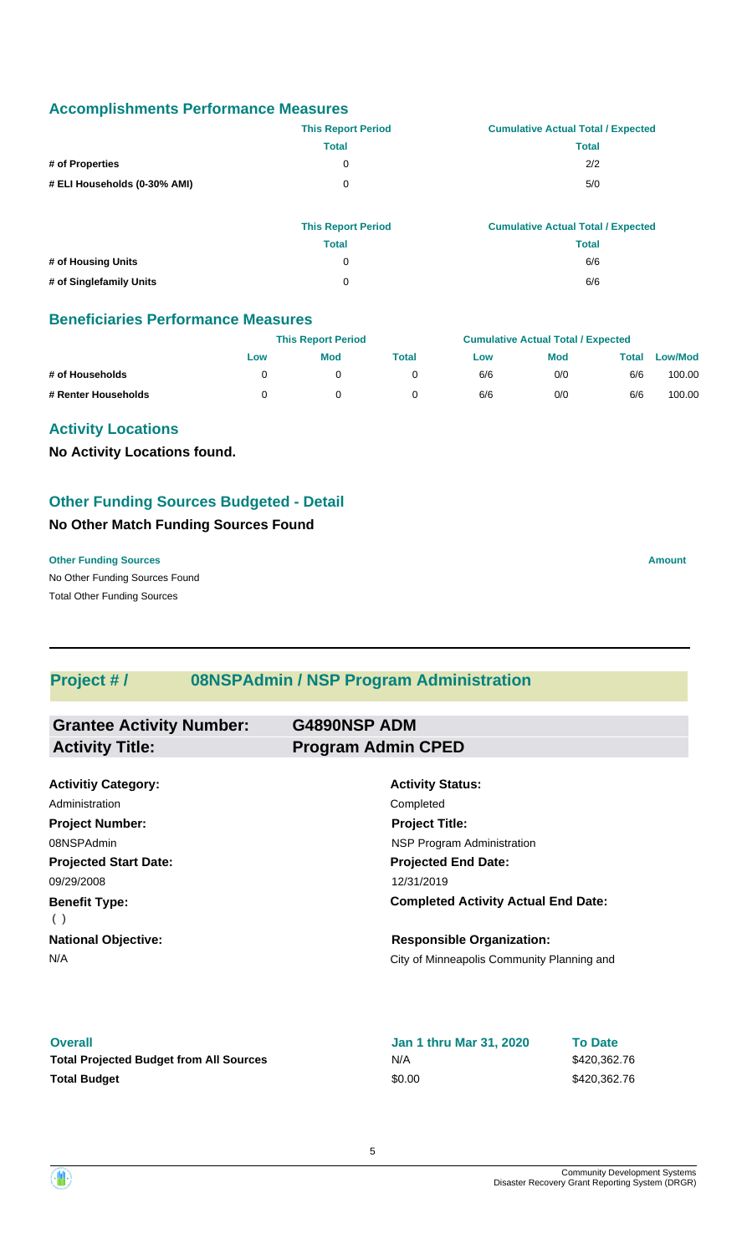### **Accomplishments Performance Measures**

|                              | <b>This Report Period</b> | <b>Cumulative Actual Total / Expected</b> |
|------------------------------|---------------------------|-------------------------------------------|
|                              | Total                     | Total                                     |
| # of Properties              | 0                         | 2/2                                       |
| # ELI Households (0-30% AMI) | 0                         | 5/0                                       |

|                         | <b>This Report Period</b> | <b>Cumulative Actual Total / Expected</b> |
|-------------------------|---------------------------|-------------------------------------------|
|                         | <b>Total</b>              | Total                                     |
| # of Housing Units      | 0                         | 6/6                                       |
| # of Singlefamily Units | 0                         | 6/6                                       |

### **Beneficiaries Performance Measures**

|                     |     | <b>This Report Period</b> |       |     | <b>Cumulative Actual Total / Expected</b> |       |                |  |
|---------------------|-----|---------------------------|-------|-----|-------------------------------------------|-------|----------------|--|
|                     | Low | <b>Mod</b>                | Total | Low | <b>Mod</b>                                | Total | <b>Low/Mod</b> |  |
| # of Households     |     |                           |       | 6/6 | 0/0                                       | 6/6   | 100.00         |  |
| # Renter Households |     |                           |       | 6/6 | 0/0                                       | 6/6   | 100.00         |  |

### **Activity Locations**

**No Activity Locations found.**

### **Other Funding Sources Budgeted - Detail**

### **No Other Match Funding Sources Found**

No Other Funding Sources Found **Other Funding Sources Amount Amount Amount Amount Amount Amount Amount** Total Other Funding Sources

### **Project # / 08NSPAdmin / NSP Program Administration**

| <b>Grantee Activity Number:</b> | <b>G4890NSP ADM</b>                        |  |
|---------------------------------|--------------------------------------------|--|
| <b>Activity Title:</b>          | <b>Program Admin CPED</b>                  |  |
|                                 |                                            |  |
| <b>Activitiy Category:</b>      | <b>Activity Status:</b>                    |  |
| Administration                  | Completed                                  |  |
| <b>Project Number:</b>          | <b>Project Title:</b>                      |  |
| 08NSPAdmin                      | NSP Program Administration                 |  |
| <b>Projected Start Date:</b>    | <b>Projected End Date:</b>                 |  |
| 09/29/2008                      | 12/31/2019                                 |  |
| <b>Benefit Type:</b>            | <b>Completed Activity Actual End Date:</b> |  |
| (                               |                                            |  |
| <b>National Objective:</b>      | <b>Responsible Organization:</b>           |  |
| N/A                             | City of Minneapolis Community Planning and |  |
|                                 |                                            |  |

#### **Overall**

| <b>Overall</b>                                 | <b>Jan 1 thru Mar 31, 2020</b> | <b>To Date</b> |
|------------------------------------------------|--------------------------------|----------------|
| <b>Total Projected Budget from All Sources</b> | N/A                            | \$420,362.76   |
| <b>Total Budget</b>                            | \$0.00                         | \$420,362.76   |

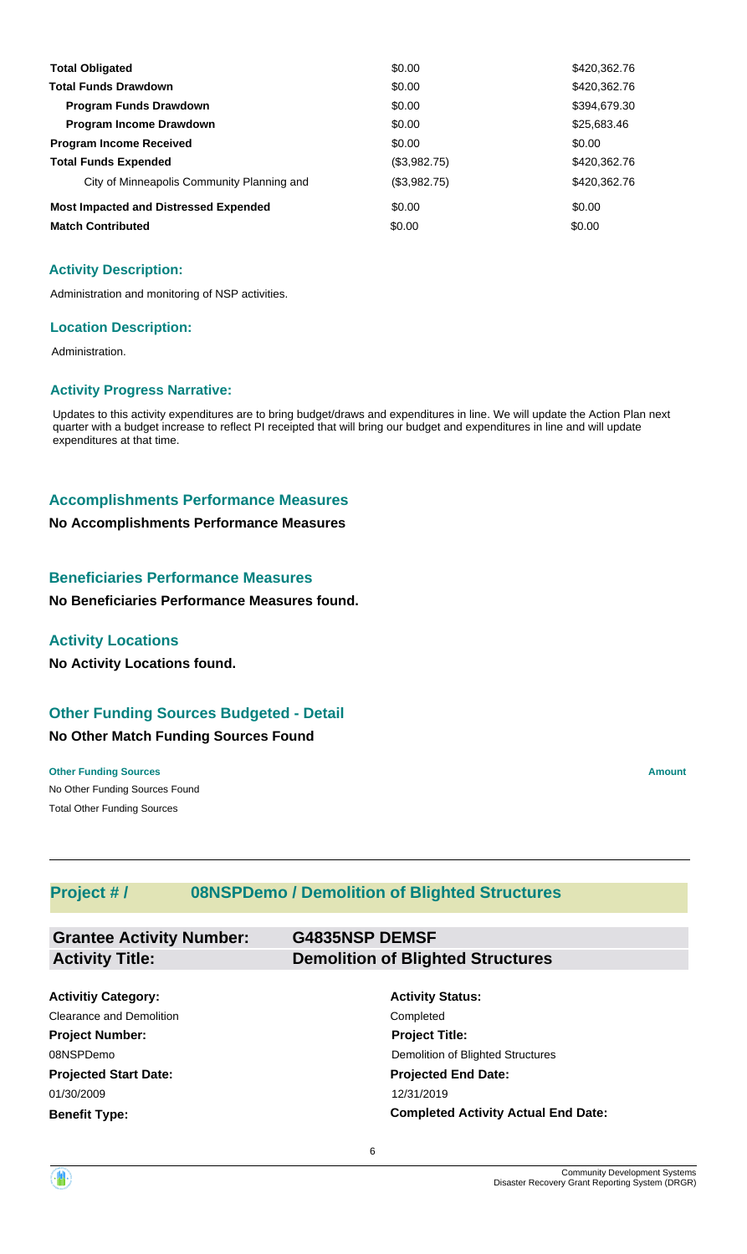| <b>Total Obligated</b>                       | \$0.00       | \$420,362.76 |
|----------------------------------------------|--------------|--------------|
| <b>Total Funds Drawdown</b>                  | \$0.00       | \$420,362.76 |
| <b>Program Funds Drawdown</b>                | \$0.00       | \$394,679.30 |
| <b>Program Income Drawdown</b>               | \$0.00       | \$25,683.46  |
| <b>Program Income Received</b>               | \$0.00       | \$0.00       |
| <b>Total Funds Expended</b>                  | (\$3,982.75) | \$420,362.76 |
| City of Minneapolis Community Planning and   | (\$3,982.75) | \$420,362.76 |
| <b>Most Impacted and Distressed Expended</b> | \$0.00       | \$0.00       |
| <b>Match Contributed</b>                     | \$0.00       | \$0.00       |

Administration and monitoring of NSP activities.

#### **Location Description:**

Administration.

#### **Activity Progress Narrative:**

Updates to this activity expenditures are to bring budget/draws and expenditures in line. We will update the Action Plan next quarter with a budget increase to reflect PI receipted that will bring our budget and expenditures in line and will update expenditures at that time.

### **Accomplishments Performance Measures**

#### **No Accomplishments Performance Measures**

#### **Beneficiaries Performance Measures**

**No Beneficiaries Performance Measures found.**

### **Activity Locations**

**No Activity Locations found.**

### **Other Funding Sources Budgeted - Detail**

### **No Other Match Funding Sources Found**

No Other Funding Sources Found **Other Funding Sources Amount Amount Amount Amount Amount Amount Amount** Total Other Funding Sources

### **Project # / 08NSPDemo / Demolition of Blighted Structures**

| <b>Grantee Activity Number:</b><br><b>Activity Title:</b> | <b>G4835NSP DEMSF</b><br><b>Demolition of Blighted Structures</b> |  |  |
|-----------------------------------------------------------|-------------------------------------------------------------------|--|--|
| <b>Activitiy Category:</b>                                | <b>Activity Status:</b>                                           |  |  |
| Clearance and Demolition                                  | Completed                                                         |  |  |
| <b>Project Number:</b>                                    | <b>Project Title:</b>                                             |  |  |
| 08NSPDemo                                                 | Demolition of Blighted Structures                                 |  |  |
| <b>Projected Start Date:</b>                              | <b>Projected End Date:</b>                                        |  |  |
| 01/30/2009                                                | 12/31/2019                                                        |  |  |
| <b>Benefit Type:</b>                                      | <b>Completed Activity Actual End Date:</b>                        |  |  |

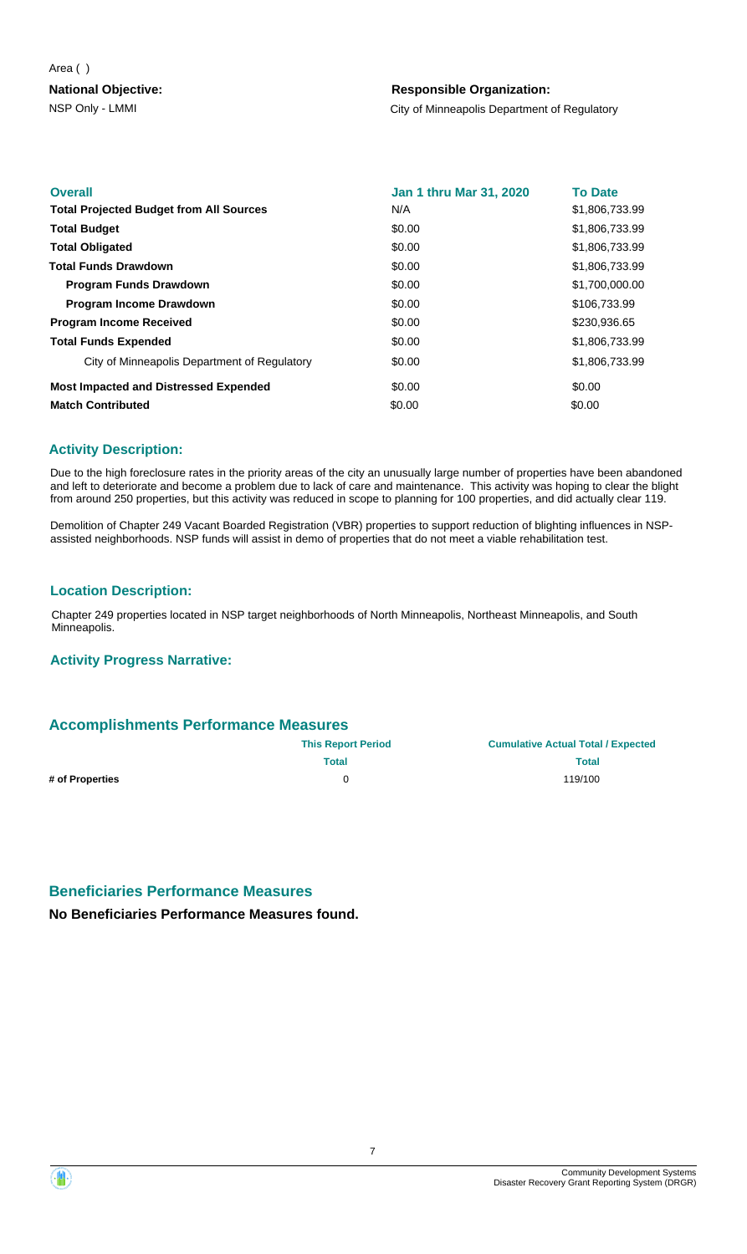#### Area ( )

### **National Objective:**

### **Responsible Organization:**

NSP Only - LMMI City of Minneapolis Department of Regulatory

| <b>Overall</b>                                 | Jan 1 thru Mar 31, 2020 | <b>To Date</b> |
|------------------------------------------------|-------------------------|----------------|
| <b>Total Projected Budget from All Sources</b> | N/A                     | \$1,806,733.99 |
| <b>Total Budget</b>                            | \$0.00                  | \$1,806,733.99 |
| <b>Total Obligated</b>                         | \$0.00                  | \$1,806,733.99 |
| <b>Total Funds Drawdown</b>                    | \$0.00                  | \$1,806,733.99 |
| <b>Program Funds Drawdown</b>                  | \$0.00                  | \$1,700,000.00 |
| <b>Program Income Drawdown</b>                 | \$0.00                  | \$106,733.99   |
| <b>Program Income Received</b>                 | \$0.00                  | \$230,936.65   |
| <b>Total Funds Expended</b>                    | \$0.00                  | \$1,806,733.99 |
| City of Minneapolis Department of Regulatory   | \$0.00                  | \$1,806,733.99 |
| <b>Most Impacted and Distressed Expended</b>   | \$0.00                  | \$0.00         |
| <b>Match Contributed</b>                       | \$0.00                  | \$0.00         |

### **Activity Description:**

Due to the high foreclosure rates in the priority areas of the city an unusually large number of properties have been abandoned and left to deteriorate and become a problem due to lack of care and maintenance. This activity was hoping to clear the blight from around 250 properties, but this activity was reduced in scope to planning for 100 properties, and did actually clear 119.

Demolition of Chapter 249 Vacant Boarded Registration (VBR) properties to support reduction of blighting influences in NSPassisted neighborhoods. NSP funds will assist in demo of properties that do not meet a viable rehabilitation test.

### **Location Description:**

Chapter 249 properties located in NSP target neighborhoods of North Minneapolis, Northeast Minneapolis, and South Minneapolis.

### **Activity Progress Narrative:**

### **Accomplishments Performance Measures**

|                 | <b>This Report Period</b> | <b>Cumulative Actual Total / Expected</b> |
|-----------------|---------------------------|-------------------------------------------|
|                 | <b>Total</b>              | <b>Total</b>                              |
| # of Properties | $\Omega$                  | 119/100                                   |
|                 |                           |                                           |

### **Beneficiaries Performance Measures**

**No Beneficiaries Performance Measures found.**

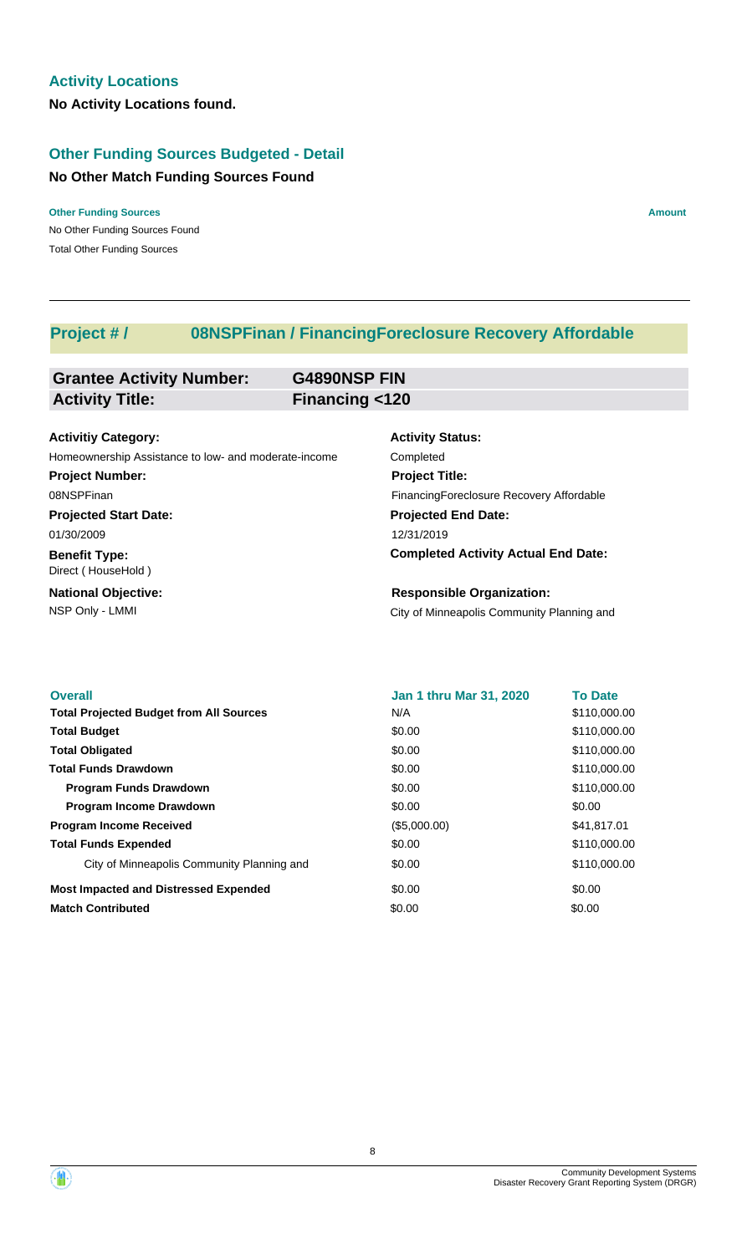### **Other Funding Sources Budgeted - Detail**

### **No Other Match Funding Sources Found**

No Other Funding Sources Found **Other Funding Sources Amount Amount Amount Amount Amount Amount Amount** Total Other Funding Sources

### **Project # / 08NSPFinan / FinancingForeclosure Recovery Affordable**

| <b>Grantee Activity Number:</b>                      | <b>G4890NSP FIN</b> |                                            |
|------------------------------------------------------|---------------------|--------------------------------------------|
| <b>Activity Title:</b>                               | Financing <120      |                                            |
|                                                      |                     |                                            |
| <b>Activitiy Category:</b>                           |                     | <b>Activity Status:</b>                    |
| Homeownership Assistance to low- and moderate-income |                     | Completed                                  |
| <b>Project Number:</b>                               |                     | <b>Project Title:</b>                      |
| 08NSPFinan                                           |                     | Financing Foreclosure Recovery Affordable  |
| <b>Projected Start Date:</b>                         |                     | <b>Projected End Date:</b>                 |
| 01/30/2009                                           |                     | 12/31/2019                                 |
| <b>Benefit Type:</b><br>Direct (HouseHold)           |                     | <b>Completed Activity Actual End Date:</b> |
| <b>National Objective:</b>                           |                     | <b>Responsible Organization:</b>           |
| NSP Only - LMMI                                      |                     | City of Minneapolis Community Planning and |
|                                                      |                     |                                            |

| <b>Overall</b>                                 | <b>Jan 1 thru Mar 31, 2020</b> | <b>To Date</b> |
|------------------------------------------------|--------------------------------|----------------|
| <b>Total Projected Budget from All Sources</b> | N/A                            | \$110,000.00   |
| <b>Total Budget</b>                            | \$0.00                         | \$110,000.00   |
| <b>Total Obligated</b>                         | \$0.00                         | \$110,000.00   |
| <b>Total Funds Drawdown</b>                    | \$0.00                         | \$110,000.00   |
| <b>Program Funds Drawdown</b>                  | \$0.00                         | \$110,000.00   |
| Program Income Drawdown                        | \$0.00                         | \$0.00         |
| <b>Program Income Received</b>                 | (\$5,000.00)                   | \$41,817.01    |
| <b>Total Funds Expended</b>                    | \$0.00                         | \$110,000.00   |
| City of Minneapolis Community Planning and     | \$0.00                         | \$110,000.00   |
| <b>Most Impacted and Distressed Expended</b>   | \$0.00                         | \$0.00         |
| <b>Match Contributed</b>                       | \$0.00                         | \$0.00         |

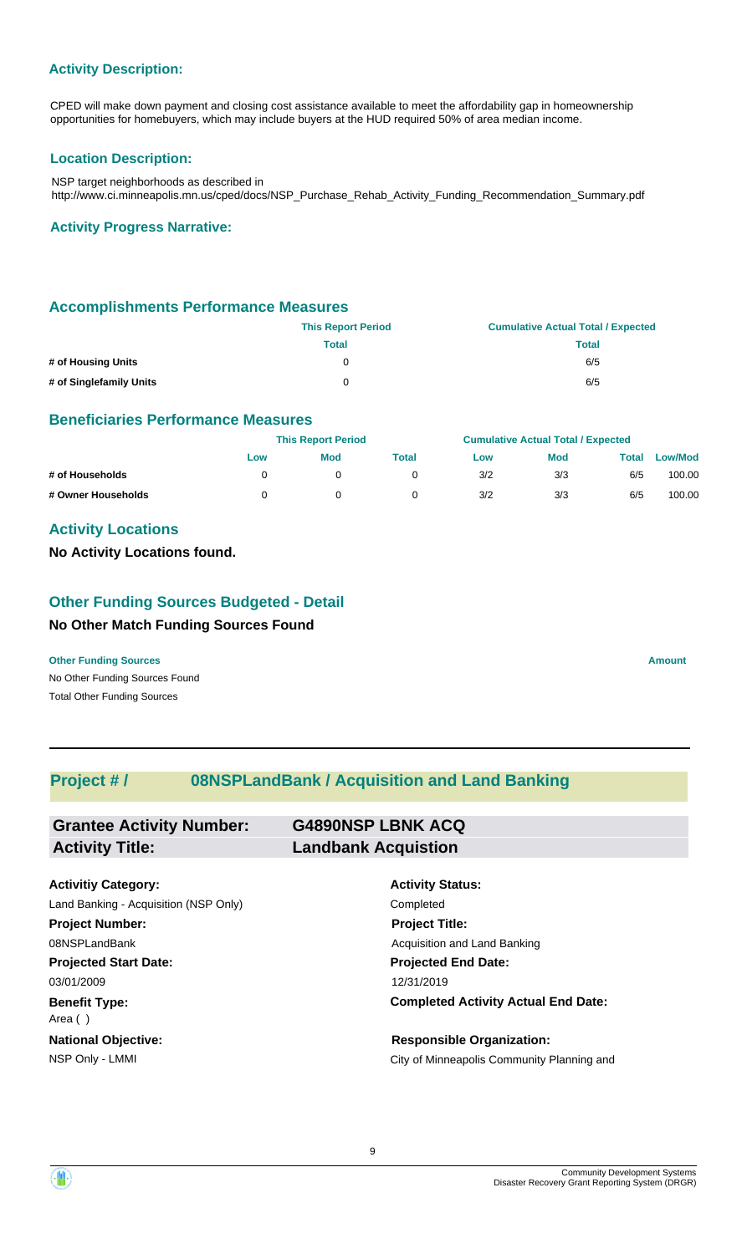CPED will make down payment and closing cost assistance available to meet the affordability gap in homeownership opportunities for homebuyers, which may include buyers at the HUD required 50% of area median income.

### **Location Description:**

NSP target neighborhoods as described in http://www.ci.minneapolis.mn.us/cped/docs/NSP\_Purchase\_Rehab\_Activity\_Funding\_Recommendation\_Summary.pdf

#### **Activity Progress Narrative:**

### **Accomplishments Performance Measures**

|                         | <b>This Report Period</b> | <b>Cumulative Actual Total / Expected</b> |
|-------------------------|---------------------------|-------------------------------------------|
|                         | Total                     | Total                                     |
| # of Housing Units      | 0                         | 6/5                                       |
| # of Singlefamily Units | 0                         | 6/5                                       |

### **Beneficiaries Performance Measures**

|                    |     | <b>This Report Period</b> |       |     | <b>Cumulative Actual Total / Expected</b> |       |                |
|--------------------|-----|---------------------------|-------|-----|-------------------------------------------|-------|----------------|
|                    | Low | <b>Mod</b>                | Total | Low | <b>Mod</b>                                | Total | <b>Low/Mod</b> |
| # of Households    |     |                           |       | 3/2 | 3/3                                       | 6/5   | 100.00         |
| # Owner Households |     |                           |       | 3/2 | 3/3                                       | 6/5   | 100.00         |

### **Activity Locations**

**No Activity Locations found.**

### **No Other Match Funding Sources Found Other Funding Sources Budgeted - Detail**

No Other Funding Sources Found **Other Funding Sources Amount** 

Total Other Funding Sources

### **Project # / 08NSPLandBank / Acquisition and Land Banking**

| <b>Grantee Activity Number:</b> | <b>G4890NSP LBNK ACQ</b>   |
|---------------------------------|----------------------------|
| <b>Activity Title:</b>          | <b>Landbank Acquistion</b> |
|                                 |                            |

| <b>Activitiy Category:</b>            | <b>Activity Status:</b>                    |
|---------------------------------------|--------------------------------------------|
| Land Banking - Acquisition (NSP Only) | Completed                                  |
| <b>Project Number:</b>                | <b>Project Title:</b>                      |
| 08NSPLandBank                         | Acquisition and Land Banking               |
| <b>Projected Start Date:</b>          | <b>Projected End Date:</b>                 |
| 03/01/2009                            | 12/31/2019                                 |
| <b>Benefit Type:</b><br>Area ()       | <b>Completed Activity Actual End Date:</b> |
| <b>National Objective:</b>            | <b>Responsible Organization:</b>           |
| NSP Only - LMMI                       | City of Minneapolis Community Planning and |

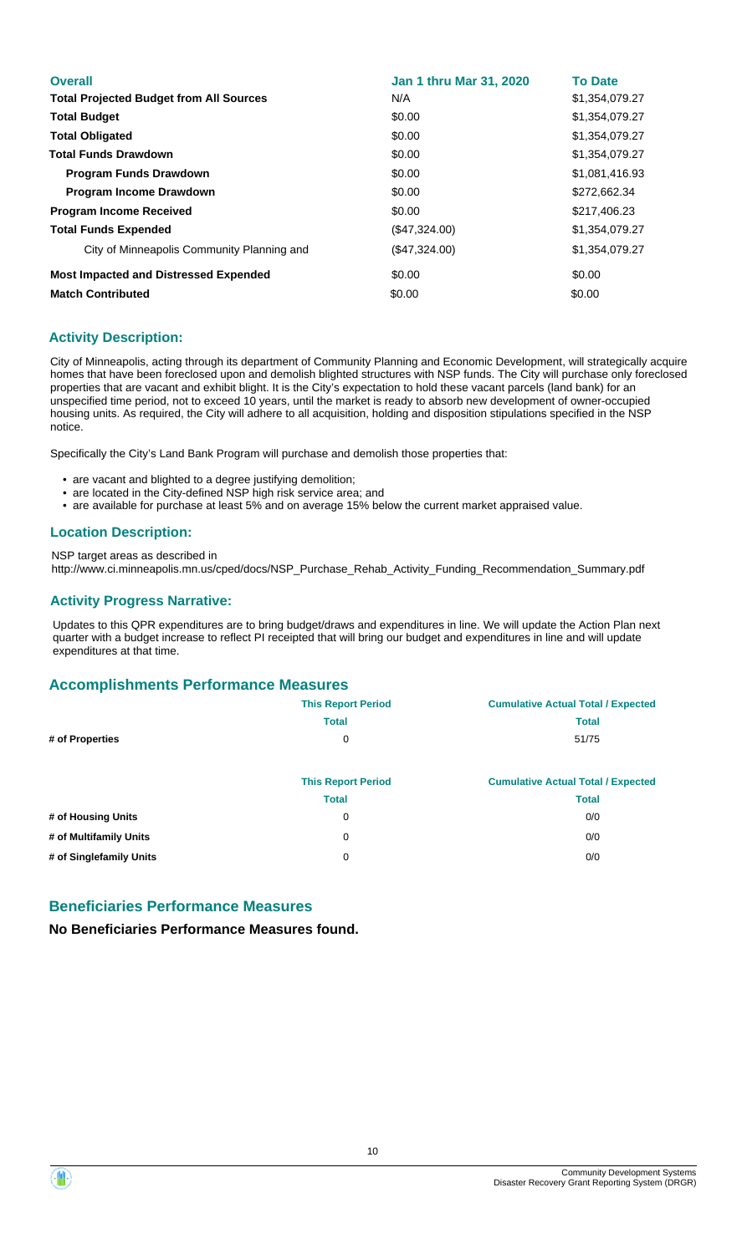| <b>Overall</b>                                 | Jan 1 thru Mar 31, 2020 | <b>To Date</b> |
|------------------------------------------------|-------------------------|----------------|
| <b>Total Projected Budget from All Sources</b> | N/A                     | \$1,354,079.27 |
| <b>Total Budget</b>                            | \$0.00                  | \$1,354,079.27 |
| <b>Total Obligated</b>                         | \$0.00                  | \$1,354,079.27 |
| <b>Total Funds Drawdown</b>                    | \$0.00                  | \$1,354,079.27 |
| <b>Program Funds Drawdown</b>                  | \$0.00                  | \$1,081,416.93 |
| <b>Program Income Drawdown</b>                 | \$0.00                  | \$272,662.34   |
| <b>Program Income Received</b>                 | \$0.00                  | \$217,406.23   |
| <b>Total Funds Expended</b>                    | (\$47,324.00)           | \$1,354,079.27 |
| City of Minneapolis Community Planning and     | (\$47,324.00)           | \$1,354,079.27 |
| <b>Most Impacted and Distressed Expended</b>   | \$0.00                  | \$0.00         |
| <b>Match Contributed</b>                       | \$0.00                  | \$0.00         |

City of Minneapolis, acting through its department of Community Planning and Economic Development, will strategically acquire homes that have been foreclosed upon and demolish blighted structures with NSP funds. The City will purchase only foreclosed properties that are vacant and exhibit blight. It is the City's expectation to hold these vacant parcels (land bank) for an unspecified time period, not to exceed 10 years, until the market is ready to absorb new development of owner-occupied housing units. As required, the City will adhere to all acquisition, holding and disposition stipulations specified in the NSP notice.

Specifically the City's Land Bank Program will purchase and demolish those properties that:

- are vacant and blighted to a degree justifying demolition;
- are located in the City-defined NSP high risk service area; and
- are available for purchase at least 5% and on average 15% below the current market appraised value.

### **Location Description:**

NSP target areas as described in http://www.ci.minneapolis.mn.us/cped/docs/NSP\_Purchase\_Rehab\_Activity\_Funding\_Recommendation\_Summary.pdf

### **Activity Progress Narrative:**

Updates to this QPR expenditures are to bring budget/draws and expenditures in line. We will update the Action Plan next quarter with a budget increase to reflect PI receipted that will bring our budget and expenditures in line and will update expenditures at that time.

### **Accomplishments Performance Measures**

|                         | <b>This Report Period</b> | <b>Cumulative Actual Total / Expected</b> |
|-------------------------|---------------------------|-------------------------------------------|
|                         | <b>Total</b>              | <b>Total</b>                              |
| # of Properties         | 0                         | 51/75                                     |
|                         |                           |                                           |
|                         | <b>This Report Period</b> | <b>Cumulative Actual Total / Expected</b> |
|                         | <b>Total</b>              | <b>Total</b>                              |
| # of Housing Units      | 0                         | 0/0                                       |
| # of Multifamily Units  | 0                         | 0/0                                       |
| # of Singlefamily Units | 0                         | 0/0                                       |

### **Beneficiaries Performance Measures**

**No Beneficiaries Performance Measures found.**

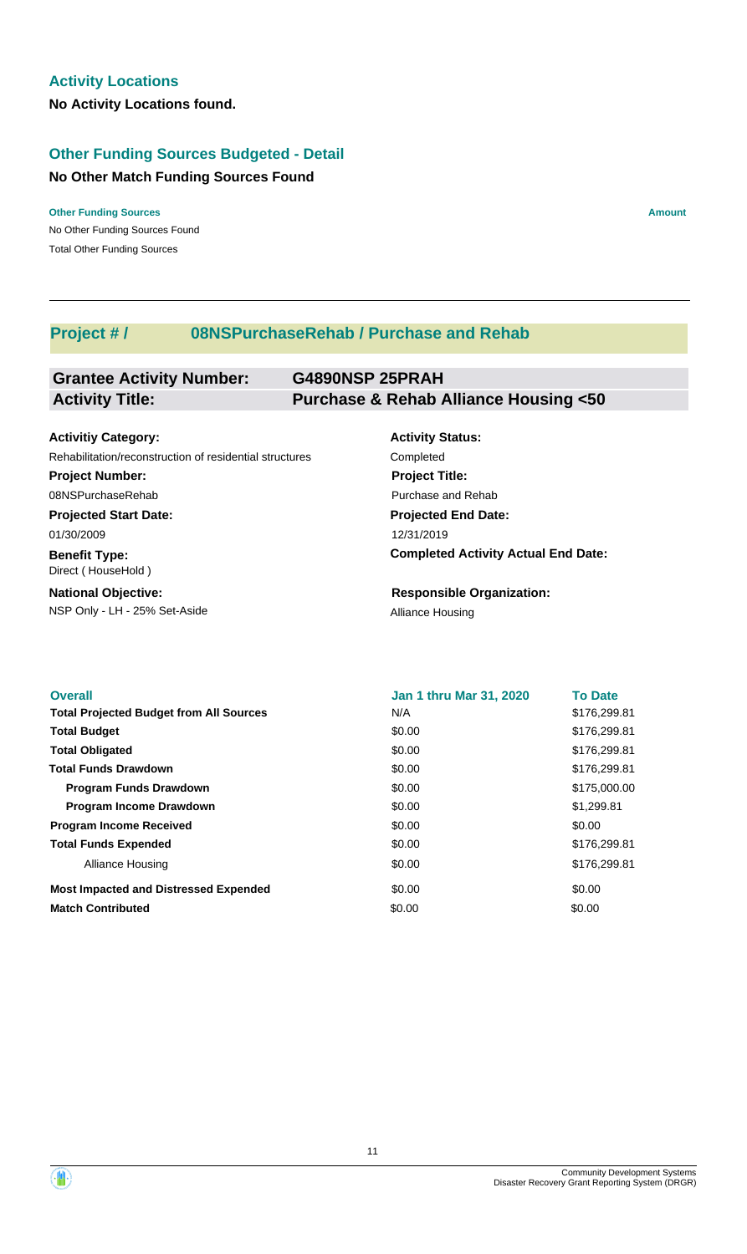### **Other Funding Sources Budgeted - Detail**

### **No Other Match Funding Sources Found**

No Other Funding Sources Found **Other Funding Sources Amount Amount Amount Amount Amount Amount Amount** Total Other Funding Sources

### **Project # / 08NSPurchaseRehab / Purchase and Rehab**

#### **Grantee Activity Number: G4890NSP 25PRAH Activity Title: Purchase & Rehab Alliance Housing <50**

#### **Projected Start Date: Benefit Type:** NSP Only - LH - 25% Set-Aside Alliance Housing **National Objective: Activity Status: Projected End Date: Completed Activity Actual End Date: Activitiy Category:** 12/31/2019 01/30/2009 Direct ( HouseHold ) **Responsible Organization:** Rehabilitation/reconstruction of residential structures Completed **Project Number:** 08NSPurchaseRehab **Project Title:** Purchase and Rehab

| <b>Overall</b>                                 | <b>Jan 1 thru Mar 31, 2020</b> | <b>To Date</b> |
|------------------------------------------------|--------------------------------|----------------|
| <b>Total Projected Budget from All Sources</b> | N/A                            | \$176,299.81   |
| <b>Total Budget</b>                            | \$0.00                         | \$176,299.81   |
| <b>Total Obligated</b>                         | \$0.00                         | \$176,299.81   |
| <b>Total Funds Drawdown</b>                    | \$0.00                         | \$176,299.81   |
| <b>Program Funds Drawdown</b>                  | \$0.00                         | \$175,000.00   |
| <b>Program Income Drawdown</b>                 | \$0.00                         | \$1,299.81     |
| <b>Program Income Received</b>                 | \$0.00                         | \$0.00         |
| <b>Total Funds Expended</b>                    | \$0.00                         | \$176,299.81   |
| Alliance Housing                               | \$0.00                         | \$176,299.81   |
| <b>Most Impacted and Distressed Expended</b>   | \$0.00                         | \$0.00         |
| <b>Match Contributed</b>                       | \$0.00                         | \$0.00         |

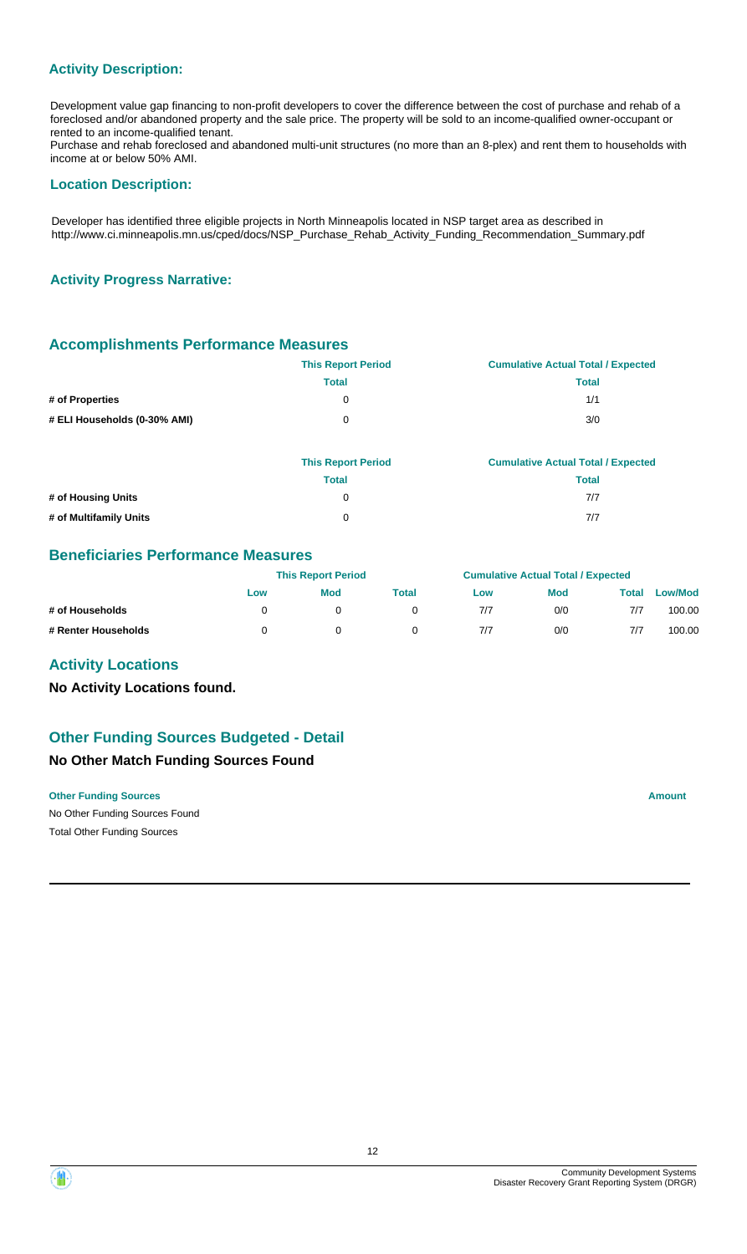Development value gap financing to non-profit developers to cover the difference between the cost of purchase and rehab of a foreclosed and/or abandoned property and the sale price. The property will be sold to an income-qualified owner-occupant or rented to an income-qualified tenant.

Purchase and rehab foreclosed and abandoned multi-unit structures (no more than an 8-plex) and rent them to households with income at or below 50% AMI.

#### **Location Description:**

Developer has identified three eligible projects in North Minneapolis located in NSP target area as described in http://www.ci.minneapolis.mn.us/cped/docs/NSP\_Purchase\_Rehab\_Activity\_Funding\_Recommendation\_Summary.pdf

### **Activity Progress Narrative:**

### **Accomplishments Performance Measures**

|                              | <b>This Report Period</b> | <b>Cumulative Actual Total / Expected</b> |
|------------------------------|---------------------------|-------------------------------------------|
|                              | <b>Total</b>              | <b>Total</b>                              |
| # of Properties              | 0                         | 1/1                                       |
| # ELI Households (0-30% AMI) | 0                         | 3/0                                       |
|                              |                           |                                           |

|                        | <b>This Report Period</b> | <b>Cumulative Actual Total / Expected</b> |
|------------------------|---------------------------|-------------------------------------------|
|                        | Total                     | Total                                     |
| # of Housing Units     |                           | 7/7                                       |
| # of Multifamily Units | $^{\circ}$                | 7/7                                       |

### **Beneficiaries Performance Measures**

|                     | <b>This Report Period</b> |            |       | <b>Cumulative Actual Total / Expected</b> |            |       |                |
|---------------------|---------------------------|------------|-------|-------------------------------------------|------------|-------|----------------|
|                     | Low                       | <b>Mod</b> | Total | Low                                       | <b>Mod</b> | Total | <b>Low/Mod</b> |
| # of Households     |                           |            |       | 7/7                                       | 0/0        | 7/7   | 100.00         |
| # Renter Households |                           |            |       | 7/7                                       | 0/0        | 7/7   | 100.00         |

### **Activity Locations**

**No Activity Locations found.**

### **Other Funding Sources Budgeted - Detail**

### **No Other Match Funding Sources Found**

No Other Funding Sources Found **Other Funding Sources Amount** Total Other Funding Sources

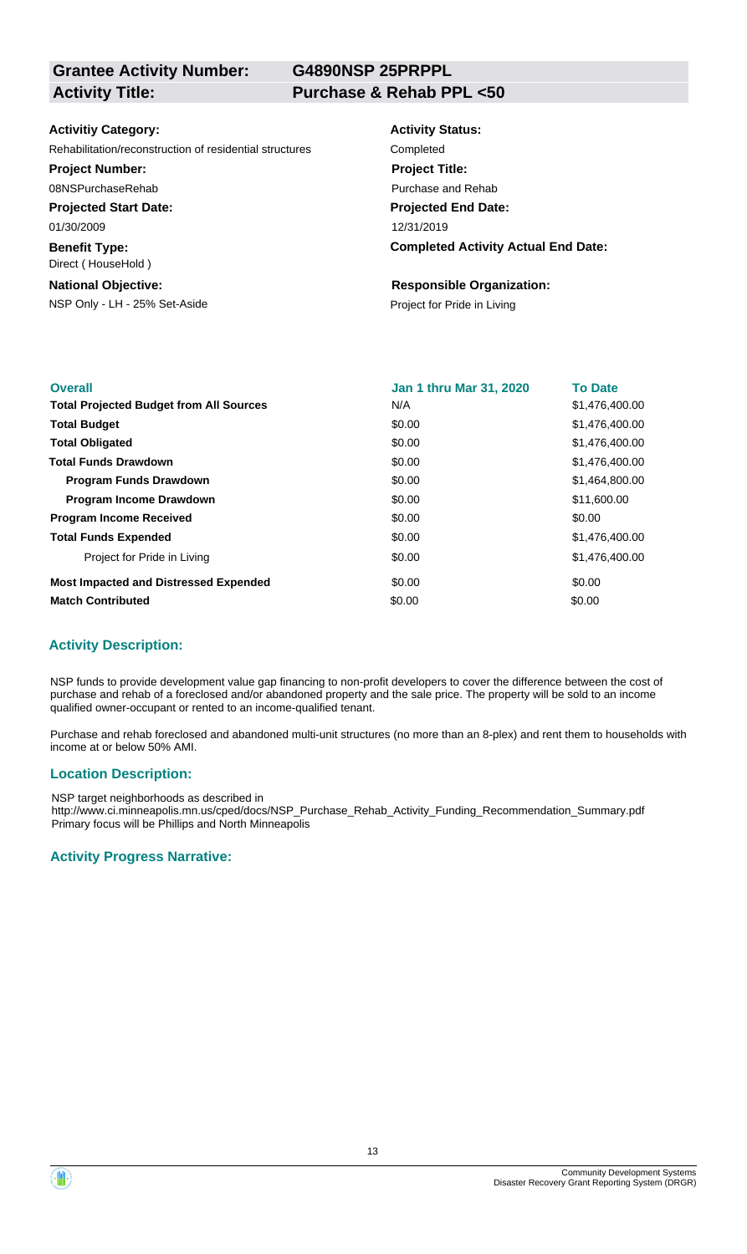**G4890NSP 25PRPPL**

### **Activitiy Category:**

Rehabilitation/reconstruction of residential structures Completed

### **Project Number:**

08NSPurchaseRehab

**Projected Start Date:**

01/30/2009

**Benefit Type:** Direct ( HouseHold )

### **National Objective:**

NSP Only - LH - 25% Set-Aside Project for Pride in Living

# **Activity Status: Project Title:**

**Projected End Date:** 12/31/2019 Purchase and Rehab

### **Completed Activity Actual End Date:**

#### **Responsible Organization:**

| <b>Overall</b>                                 | <b>Jan 1 thru Mar 31, 2020</b> | <b>To Date</b> |
|------------------------------------------------|--------------------------------|----------------|
| <b>Total Projected Budget from All Sources</b> | N/A                            | \$1,476,400.00 |
| <b>Total Budget</b>                            | \$0.00                         | \$1,476,400.00 |
| <b>Total Obligated</b>                         | \$0.00                         | \$1,476,400.00 |
| <b>Total Funds Drawdown</b>                    | \$0.00                         | \$1,476,400.00 |
| <b>Program Funds Drawdown</b>                  | \$0.00                         | \$1,464,800.00 |
| <b>Program Income Drawdown</b>                 | \$0.00                         | \$11,600.00    |
| <b>Program Income Received</b>                 | \$0.00                         | \$0.00         |
| <b>Total Funds Expended</b>                    | \$0.00                         | \$1,476,400.00 |
| Project for Pride in Living                    | \$0.00                         | \$1,476,400,00 |
| <b>Most Impacted and Distressed Expended</b>   | \$0.00                         | \$0.00         |
| <b>Match Contributed</b>                       | \$0.00                         | \$0.00         |

### **Activity Description:**

NSP funds to provide development value gap financing to non-profit developers to cover the difference between the cost of purchase and rehab of a foreclosed and/or abandoned property and the sale price. The property will be sold to an income qualified owner-occupant or rented to an income-qualified tenant.

Purchase and rehab foreclosed and abandoned multi-unit structures (no more than an 8-plex) and rent them to households with income at or below 50% AMI.

### **Location Description:**

NSP target neighborhoods as described in http://www.ci.minneapolis.mn.us/cped/docs/NSP\_Purchase\_Rehab\_Activity\_Funding\_Recommendation\_Summary.pdf Primary focus will be Phillips and North Minneapolis

### **Activity Progress Narrative:**

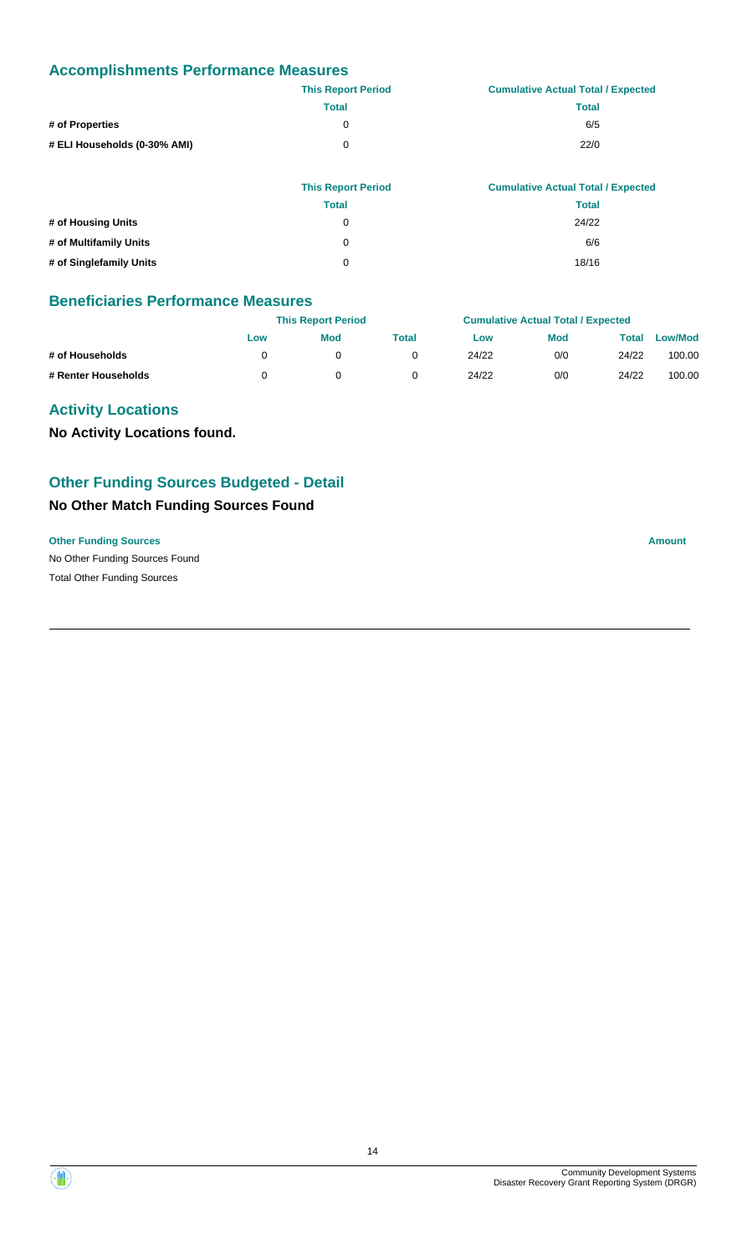### **Accomplishments Performance Measures**

|                              | <b>This Report Period</b> | <b>Cumulative Actual Total / Expected</b> |
|------------------------------|---------------------------|-------------------------------------------|
|                              | <b>Total</b>              | <b>Total</b>                              |
| # of Properties              | 0                         | 6/5                                       |
| # ELI Households (0-30% AMI) | 0                         | 22/0                                      |
|                              |                           |                                           |

|                         | <b>This Report Period</b> | <b>Cumulative Actual Total / Expected</b> |
|-------------------------|---------------------------|-------------------------------------------|
|                         | <b>Total</b>              | <b>Total</b>                              |
| # of Housing Units      | 0                         | 24/22                                     |
| # of Multifamily Units  | 0                         | 6/6                                       |
| # of Singlefamily Units | 0                         | 18/16                                     |

### **Beneficiaries Performance Measures**

|                     |     | <b>This Report Period</b> |       |       | <b>Cumulative Actual Total / Expected</b> |       |                |  |
|---------------------|-----|---------------------------|-------|-------|-------------------------------------------|-------|----------------|--|
|                     | Low | <b>Mod</b>                | Total | Low   | <b>Mod</b>                                | Total | <b>Low/Mod</b> |  |
| # of Households     |     |                           |       | 24/22 | 0/0                                       | 24/22 | 100.00         |  |
| # Renter Households |     |                           |       | 24/22 | 0/0                                       | 24/22 | 100.00         |  |

### **Activity Locations**

**No Activity Locations found.**

### **Other Funding Sources Budgeted - Detail**

### **No Other Match Funding Sources Found**

### **Other Funding Sources Amount**

No Other Funding Sources Found Total Other Funding Sources

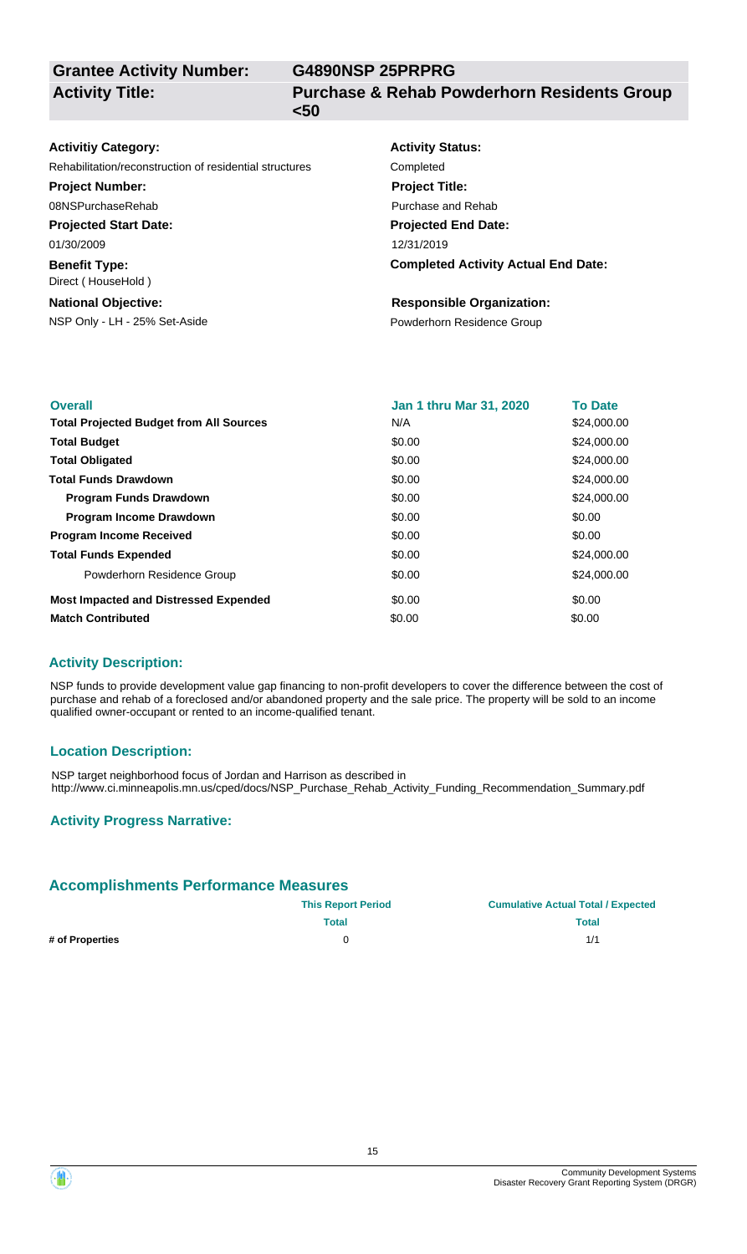**Grantee Activity Number: Activity Title:**

**G4890NSP 25PRPRG**

**Purchase & Rehab Powderhorn Residents Group <50**

| <b>Activitiy Category:</b>                              | <b>Activity Status:</b>                    |
|---------------------------------------------------------|--------------------------------------------|
| Rehabilitation/reconstruction of residential structures | Completed                                  |
| <b>Project Number:</b>                                  | <b>Project Title:</b>                      |
| 08NSPurchaseRehab                                       | Purchase and Rehab                         |
| <b>Projected Start Date:</b>                            | <b>Projected End Date:</b>                 |
| 01/30/2009                                              | 12/31/2019                                 |
| <b>Benefit Type:</b><br>Direct (HouseHold)              | <b>Completed Activity Actual End Date:</b> |
| <b>National Objective:</b>                              | <b>Responsible Organization:</b>           |
| NSP Only - LH - 25% Set-Aside                           | Powderhorn Residence Group                 |
|                                                         |                                            |

| <b>Overall</b>                                 | Jan 1 thru Mar 31, 2020 | <b>To Date</b> |
|------------------------------------------------|-------------------------|----------------|
| <b>Total Projected Budget from All Sources</b> | N/A                     | \$24,000.00    |
| <b>Total Budget</b>                            | \$0.00                  | \$24,000.00    |
| <b>Total Obligated</b>                         | \$0.00                  | \$24,000.00    |
| <b>Total Funds Drawdown</b>                    | \$0.00                  | \$24,000.00    |
| <b>Program Funds Drawdown</b>                  | \$0.00                  | \$24,000.00    |
| <b>Program Income Drawdown</b>                 | \$0.00                  | \$0.00         |
| <b>Program Income Received</b>                 | \$0.00                  | \$0.00         |
| <b>Total Funds Expended</b>                    | \$0.00                  | \$24,000.00    |
| Powderhorn Residence Group                     | \$0.00                  | \$24,000.00    |
| <b>Most Impacted and Distressed Expended</b>   | \$0.00                  | \$0.00         |
| <b>Match Contributed</b>                       | \$0.00                  | \$0.00         |

### **Activity Description:**

NSP funds to provide development value gap financing to non-profit developers to cover the difference between the cost of purchase and rehab of a foreclosed and/or abandoned property and the sale price. The property will be sold to an income qualified owner-occupant or rented to an income-qualified tenant.

### **Location Description:**

NSP target neighborhood focus of Jordan and Harrison as described in http://www.ci.minneapolis.mn.us/cped/docs/NSP\_Purchase\_Rehab\_Activity\_Funding\_Recommendation\_Summary.pdf

### **Activity Progress Narrative:**

### **Accomplishments Performance Measures**

|                 | <b>This Report Period</b> | <b>Cumulative Actual Total / Expected</b> |  |  |
|-----------------|---------------------------|-------------------------------------------|--|--|
|                 | Total                     | <b>Total</b>                              |  |  |
| # of Properties |                           | 1/1                                       |  |  |

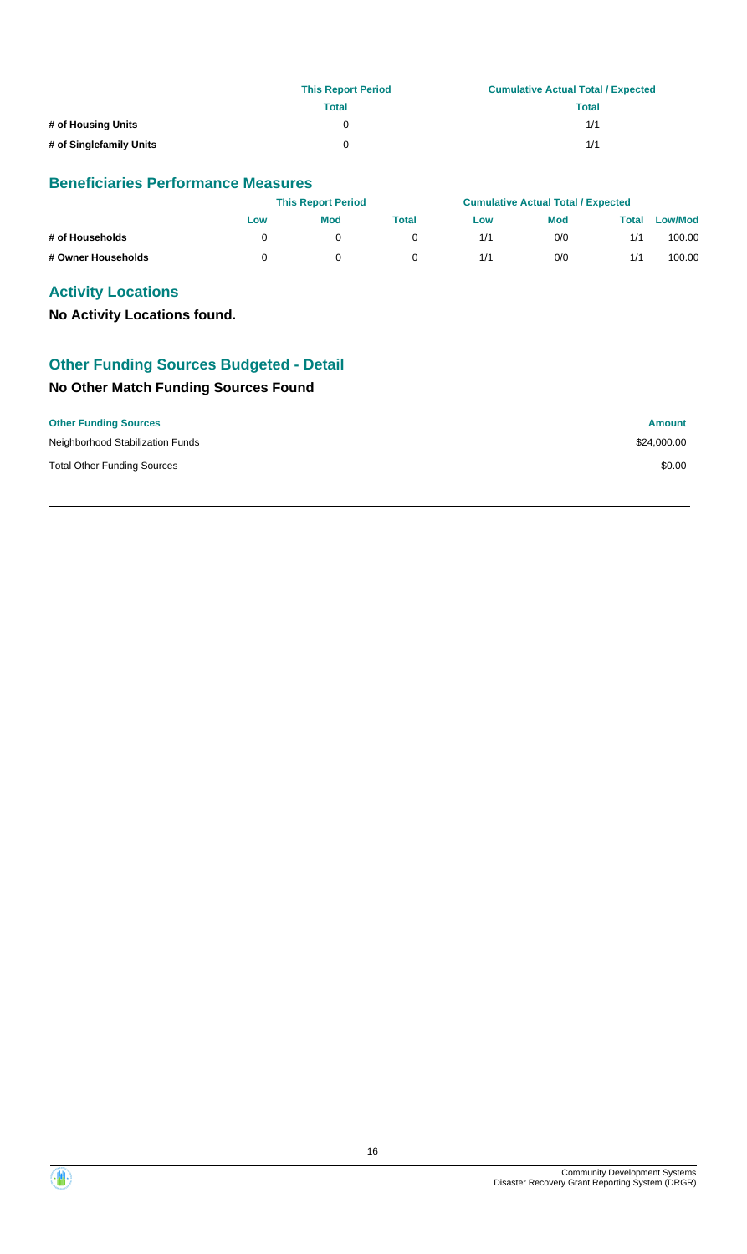|                         | <b>This Report Period</b> | <b>Cumulative Actual Total / Expected</b> |
|-------------------------|---------------------------|-------------------------------------------|
|                         | Total                     | Total                                     |
| # of Housing Units      |                           | 1/1                                       |
| # of Singlefamily Units | 0                         | 1/1                                       |

### **Beneficiaries Performance Measures**

|                    |     | <b>This Report Period</b> |              |     | <b>Cumulative Actual Total / Expected</b> |       |                |
|--------------------|-----|---------------------------|--------------|-----|-------------------------------------------|-------|----------------|
|                    | Low | <b>Mod</b>                | <b>Total</b> | Low | Mod                                       | Total | <b>Low/Mod</b> |
| # of Households    |     |                           |              | 1/1 | 0/0                                       | 1/1   | 100.00         |
| # Owner Households |     |                           |              | 1/1 | 0/0                                       | 1/1   | 100.00         |

### **Activity Locations**

**No Activity Locations found.**

### **Other Funding Sources Budgeted - Detail**

### **No Other Match Funding Sources Found**

| <b>Other Funding Sources</b>       | <b>Amount</b> |
|------------------------------------|---------------|
| Neighborhood Stabilization Funds   | \$24,000.00   |
| <b>Total Other Funding Sources</b> | \$0.00        |

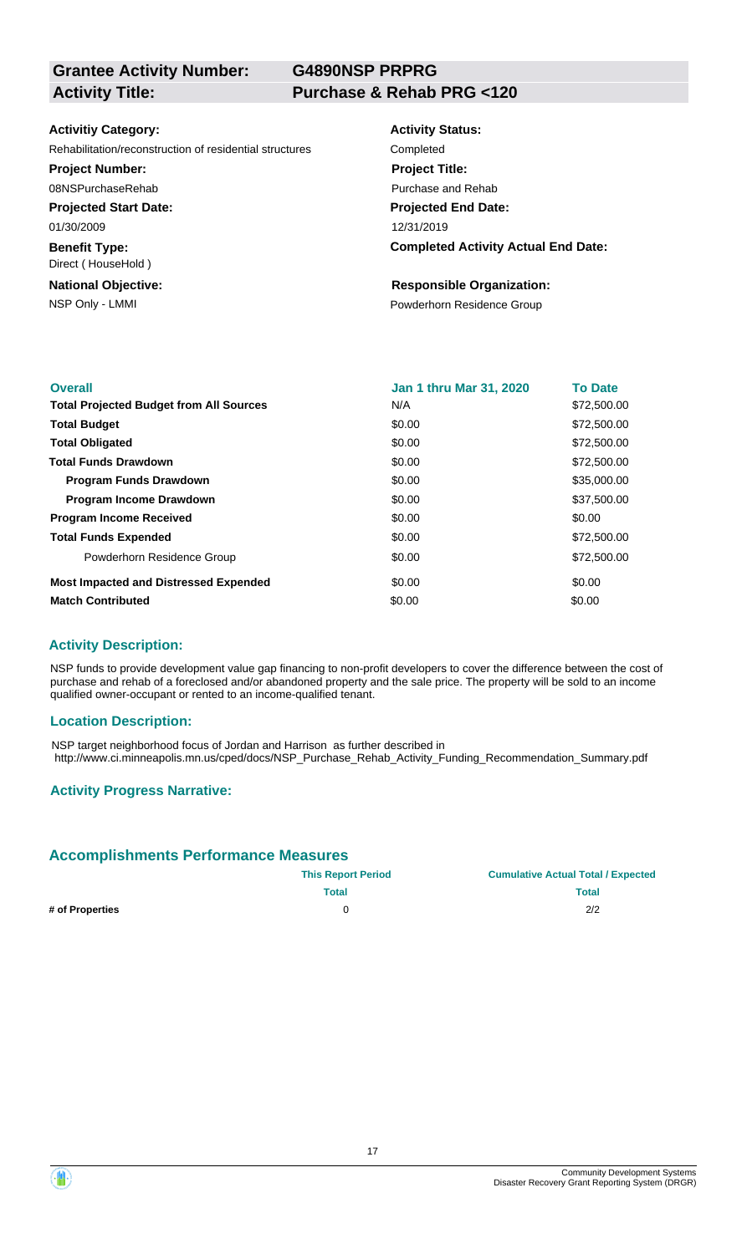**G4890NSP PRPRG**

### **Activitiy Category:**

Rehabilitation/reconstruction of residential structures

### **Project Number:**

08NSPurchaseRehab

**Projected Start Date:** 01/30/2009

**Benefit Type:**

Direct ( HouseHold )

# **National Objective:**

| <b>Activity Status:</b>                    |
|--------------------------------------------|
| Completed                                  |
| <b>Project Title:</b>                      |
| Purchase and Rehab                         |
| <b>Projected End Date:</b>                 |
| 12/31/2019                                 |
| <b>Completed Activity Actual End Date:</b> |

### **Responsible Organization:**

NSP Only - LMMI **NSP Only - LMMI** Powderhorn Residence Group

| <b>Overall</b>                                 | <b>Jan 1 thru Mar 31, 2020</b> | <b>To Date</b> |
|------------------------------------------------|--------------------------------|----------------|
| <b>Total Projected Budget from All Sources</b> | N/A                            | \$72,500.00    |
| <b>Total Budget</b>                            | \$0.00                         | \$72,500.00    |
| <b>Total Obligated</b>                         | \$0.00                         | \$72,500.00    |
| <b>Total Funds Drawdown</b>                    | \$0.00                         | \$72,500.00    |
| <b>Program Funds Drawdown</b>                  | \$0.00                         | \$35,000.00    |
| <b>Program Income Drawdown</b>                 | \$0.00                         | \$37,500.00    |
| <b>Program Income Received</b>                 | \$0.00                         | \$0.00         |
| <b>Total Funds Expended</b>                    | \$0.00                         | \$72,500.00    |
| Powderhorn Residence Group                     | \$0.00                         | \$72,500.00    |
| <b>Most Impacted and Distressed Expended</b>   | \$0.00                         | \$0.00         |
| <b>Match Contributed</b>                       | \$0.00                         | \$0.00         |

### **Activity Description:**

NSP funds to provide development value gap financing to non-profit developers to cover the difference between the cost of purchase and rehab of a foreclosed and/or abandoned property and the sale price. The property will be sold to an income qualified owner-occupant or rented to an income-qualified tenant.

### **Location Description:**

NSP target neighborhood focus of Jordan and Harrison as further described in http://www.ci.minneapolis.mn.us/cped/docs/NSP\_Purchase\_Rehab\_Activity\_Funding\_Recommendation\_Summary.pdf

### **Activity Progress Narrative:**

### **Accomplishments Performance Measures**

|                 | <b>This Report Period</b> | <b>Cumulative Actual Total / Expected</b> |  |  |
|-----------------|---------------------------|-------------------------------------------|--|--|
|                 | Total                     | Total                                     |  |  |
| # of Properties |                           | 2/2                                       |  |  |